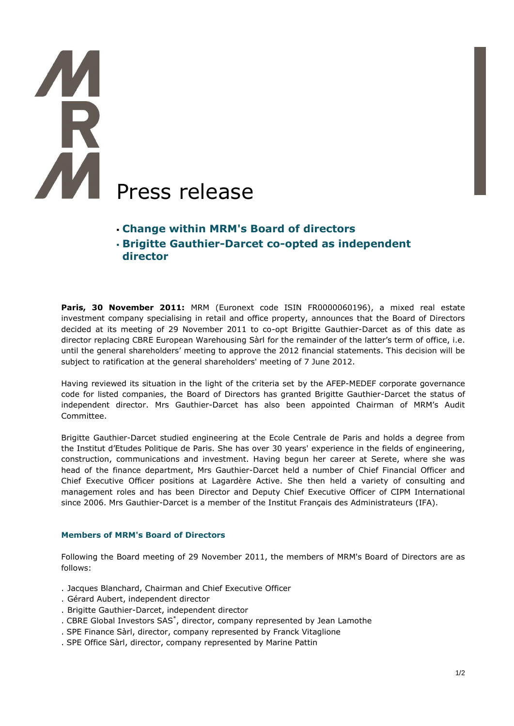# AM Press release

# **Change within MRM's Board of directors**

 **Brigitte Gauthier-Darcet co-opted as independent director** 

Paris, 30 November 2011: MRM (Euronext code ISIN FR0000060196), a mixed real estate investment company specialising in retail and office property, announces that the Board of Directors decided at its meeting of 29 November 2011 to co-opt Brigitte Gauthier-Darcet as of this date as director replacing CBRE European Warehousing Sàrl for the remainder of the latter's term of office, i.e. until the general shareholders' meeting to approve the 2012 financial statements. This decision will be subject to ratification at the general shareholders' meeting of 7 June 2012.

Having reviewed its situation in the light of the criteria set by the AFEP-MEDEF corporate governance code for listed companies, the Board of Directors has granted Brigitte Gauthier-Darcet the status of independent director. Mrs Gauthier-Darcet has also been appointed Chairman of MRM's Audit Committee.

Brigitte Gauthier-Darcet studied engineering at the Ecole Centrale de Paris and holds a degree from the Institut d'Etudes Politique de Paris. She has over 30 years' experience in the fields of engineering, construction, communications and investment. Having begun her career at Serete, where she was head of the finance department, Mrs Gauthier-Darcet held a number of Chief Financial Officer and Chief Executive Officer positions at Lagardère Active. She then held a variety of consulting and management roles and has been Director and Deputy Chief Executive Officer of CIPM International since 2006. Mrs Gauthier-Darcet is a member of the Institut Français des Administrateurs (IFA).

## **Members of MRM's Board of Directors**

Following the Board meeting of 29 November 2011, the members of MRM's Board of Directors are as follows:

- . Jacques Blanchard, Chairman and Chief Executive Officer
- . Gérard Aubert, independent director
- . Brigitte Gauthier-Darcet, independent director
- . CBRE Global Investors SAS\* , director, company represented by Jean Lamothe
- . SPE Finance Sàrl, director, company represented by Franck Vitaglione
- . SPE Office Sàrl, director, company represented by Marine Pattin